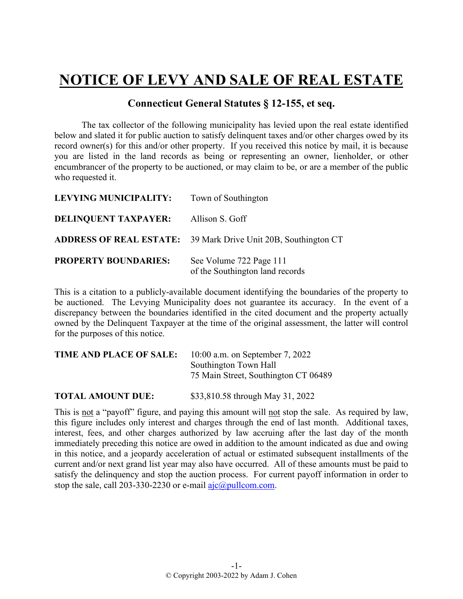## **NOTICE OF LEVY AND SALE OF REAL ESTATE**

## **Connecticut General Statutes § 12-155, et seq.**

The tax collector of the following municipality has levied upon the real estate identified below and slated it for public auction to satisfy delinquent taxes and/or other charges owed by its record owner(s) for this and/or other property. If you received this notice by mail, it is because you are listed in the land records as being or representing an owner, lienholder, or other encumbrancer of the property to be auctioned, or may claim to be, or are a member of the public who requested it.

| <b>LEVYING MUNICIPALITY:</b> | Town of Southington                                                   |
|------------------------------|-----------------------------------------------------------------------|
| <b>DELINQUENT TAXPAYER:</b>  | Allison S. Goff                                                       |
|                              | <b>ADDRESS OF REAL ESTATE:</b> 39 Mark Drive Unit 20B, Southington CT |
| <b>PROPERTY BOUNDARIES:</b>  | See Volume 722 Page 111<br>of the Southington land records            |

This is a citation to a publicly-available document identifying the boundaries of the property to be auctioned. The Levying Municipality does not guarantee its accuracy. In the event of a discrepancy between the boundaries identified in the cited document and the property actually owned by the Delinquent Taxpayer at the time of the original assessment, the latter will control for the purposes of this notice.

| <b>TIME AND PLACE OF SALE:</b> | 10:00 a.m. on September 7, 2022      |  |
|--------------------------------|--------------------------------------|--|
|                                | Southington Town Hall                |  |
|                                | 75 Main Street, Southington CT 06489 |  |
| <b>TOTAL AMOUNT DUE:</b>       | \$33,810.58 through May 31, 2022     |  |

This is not a "payoff" figure, and paying this amount will not stop the sale. As required by law, this figure includes only interest and charges through the end of last month. Additional taxes, interest, fees, and other charges authorized by law accruing after the last day of the month immediately preceding this notice are owed in addition to the amount indicated as due and owing in this notice, and a jeopardy acceleration of actual or estimated subsequent installments of the current and/or next grand list year may also have occurred. All of these amounts must be paid to satisfy the delinquency and stop the auction process. For current payoff information in order to stop the sale, call 203-330-2230 or e-mail  $a$ jc $@p$ ullcom.com.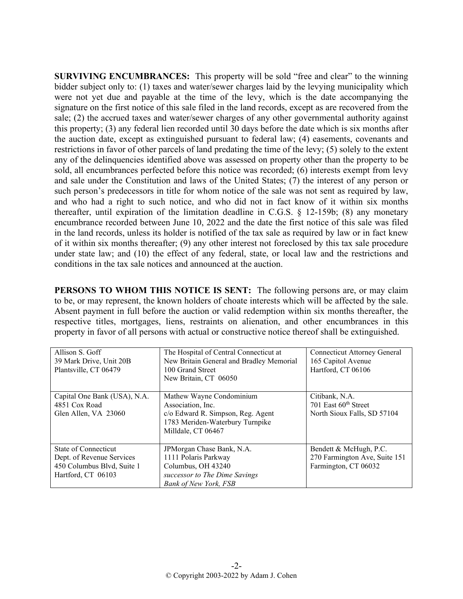**SURVIVING ENCUMBRANCES:** This property will be sold "free and clear" to the winning bidder subject only to: (1) taxes and water/sewer charges laid by the levying municipality which were not yet due and payable at the time of the levy, which is the date accompanying the signature on the first notice of this sale filed in the land records, except as are recovered from the sale; (2) the accrued taxes and water/sewer charges of any other governmental authority against this property; (3) any federal lien recorded until 30 days before the date which is six months after the auction date, except as extinguished pursuant to federal law; (4) easements, covenants and restrictions in favor of other parcels of land predating the time of the levy; (5) solely to the extent any of the delinquencies identified above was assessed on property other than the property to be sold, all encumbrances perfected before this notice was recorded; (6) interests exempt from levy and sale under the Constitution and laws of the United States; (7) the interest of any person or such person's predecessors in title for whom notice of the sale was not sent as required by law, and who had a right to such notice, and who did not in fact know of it within six months thereafter, until expiration of the limitation deadline in C.G.S. § 12-159b; (8) any monetary encumbrance recorded between June 10, 2022 and the date the first notice of this sale was filed in the land records, unless its holder is notified of the tax sale as required by law or in fact knew of it within six months thereafter; (9) any other interest not foreclosed by this tax sale procedure under state law; and (10) the effect of any federal, state, or local law and the restrictions and conditions in the tax sale notices and announced at the auction.

**PERSONS TO WHOM THIS NOTICE IS SENT:** The following persons are, or may claim to be, or may represent, the known holders of choate interests which will be affected by the sale. Absent payment in full before the auction or valid redemption within six months thereafter, the respective titles, mortgages, liens, restraints on alienation, and other encumbrances in this property in favor of all persons with actual or constructive notice thereof shall be extinguished.

| Allison S. Goff<br>39 Mark Drive, Unit 20B<br>Plantsville, CT 06479                                   | The Hospital of Central Connecticut at<br>New Britain General and Bradley Memorial<br>100 Grand Street<br>New Britain, CT 06050             | <b>Connecticut Attorney General</b><br>165 Capitol Avenue<br>Hartford, CT 06106   |
|-------------------------------------------------------------------------------------------------------|---------------------------------------------------------------------------------------------------------------------------------------------|-----------------------------------------------------------------------------------|
| Capital One Bank (USA), N.A.<br>4851 Cox Road<br>Glen Allen, VA 23060                                 | Mathew Wayne Condominium<br>Association, Inc.<br>c/o Edward R. Simpson, Reg. Agent<br>1783 Meriden-Waterbury Turnpike<br>Milldale, CT 06467 | Citibank, N.A.<br>701 East 60 <sup>th</sup> Street<br>North Sioux Falls, SD 57104 |
| State of Connecticut<br>Dept. of Revenue Services<br>450 Columbus Blvd, Suite 1<br>Hartford, CT 06103 | JPMorgan Chase Bank, N.A.<br>1111 Polaris Parkway<br>Columbus, OH 43240<br>successor to The Dime Savings<br><b>Bank of New York, FSB</b>    | Bendett & McHugh, P.C.<br>270 Farmington Ave, Suite 151<br>Farmington, CT 06032   |